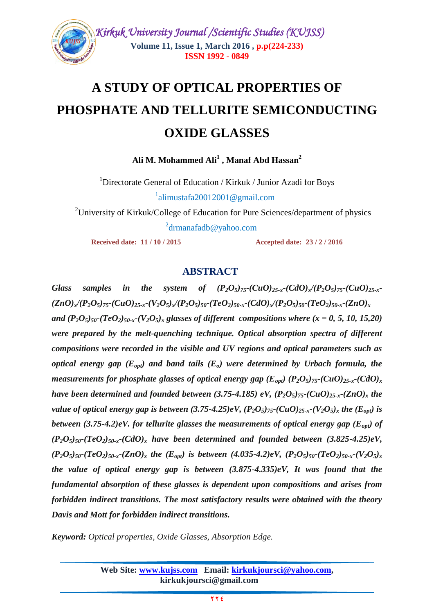

# **A STUDY OF OPTICAL PROPERTIES OF PHOSPHATE AND TELLURITE SEMICONDUCTING OXIDE GLASSES**

**Ali M. Mohammed Ali<sup>1</sup> , Manaf Abd Hassan<sup>2</sup>**

<sup>1</sup>Directorate General of Education / Kirkuk / Junior Azadi for Boys  $1$  $^1$ [alimustafa20012001@gmail.com](mailto:alimustafa20012001@gmail.com)

<sup>2</sup>University of Kirkuk/College of Education for Pure Sciences/department of physics 2

drmanafadb@yahoo.com

**Received date: 11 / 10 / 2015 Accepted date: 23 / 2 / 2016**

## **ABSTRACT**

*Glass* samples in the system of  $(P_2O_5)_{75}$ - $(CuO)_{25-x}$ - $(CdO)_x$  $(P_2O_5)_{75}$ - $(CuO)_{25-x}$ - $(ZnO)_x$ / $(P_2O_5)_{75}$ - $(CuO)_{25-x}$ - $(V_2O_5)_x$ / $(P_2O_5)_{50}$ - $(TeO_2)_{50-x}$ - $(CdO)_x$ / $(P_2O_5)_{50}$ - $(TeO_2)_{50-x}$ - $(ZnO)_x$ *and*  $(P_2O_5)_{50}$ -(TeO<sub>2</sub>)<sub>50-x</sub>-(V<sub>2</sub>O<sub>5</sub>)<sub>x</sub> glasses of different compositions where (x = 0, 5, 10, 15,20) *were prepared by the melt-quenching technique. Optical absorption spectra of different compositions were recorded in the visible and UV regions and optical parameters such as optical energy gap*  $(E_{opt})$  and band tails  $(E_o)$  were determined by Urbach formula, the *measurements for phosphate glasses of optical energy gap*  $(E_{opt})$  $(P_2O_5)_{75}$ *-* $(CuO)_{25-x}$ *-* $(CdO)_x$ *have been determined and founded between (3.75-4.185) eV,*  $(P_2O_5)_{75}$ *-(CuO)*<sub>25-x</sub>-(ZnO)<sub>*x*</sub> the *value of optical energy gap is between*  $(3.75{\text -}4.25)eV$ *,*  $(P_2O_5)_{75}$ *-* $(CuO)_{25-x}$ *-* $(V_2O_5)_x$  *the*  $(E_{opt})$  *is between* (3.75-4.2)eV. for tellurite glasses the measurements of optical energy gap ( $E_{opt}$ ) of  $(P_2O_5)_{50}$ - $(TeO_2)_{50}$ - $r$ - $(CdO)_{x}$  *have been determined and founded between*  $(3.825-4.25)eV$ ,  $(P_2O_5)_{50}$ -(TeO<sub>2</sub>)<sub>50-x</sub>-(ZnO)<sub>x</sub> the (E<sub>ont</sub>) is between (4.035-4.2)eV, (P<sub>2</sub>O<sub>5</sub>)<sub>50</sub>-(TeO<sub>2</sub>)<sub>50-x</sub>-(V<sub>2</sub>O<sub>5</sub>)<sub>x</sub> *the value of optical energy gap is between (3.875-4.335)eV, It was found that the fundamental absorption of these glasses is dependent upon compositions and arises from forbidden indirect transitions. The most satisfactory results were obtained with the theory Davis and Mott for forbidden indirect transitions.*

*Keyword: Optical properties, Oxide Glasses, Absorption Edge.*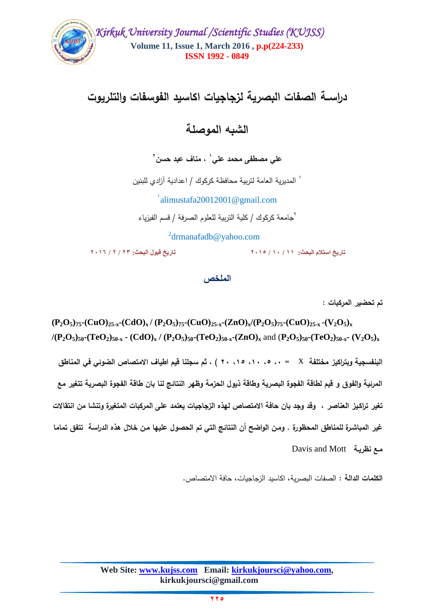

# **دراســة الصفات البصرية لزجاجيات اكاسيد الفوسفات والتمريوت**

**الشبو الموصمة** 

**1 عمي مصطفى محمد عمي , مناف عبد حسن 2**

1 المديرية العامة لتربية محافظة كركوك / اعدادية آزادي لمبنين

alimustafa20012001@gmail.com 1

2 جامعة كركوك / كمية التربية لمعموم الصرفة / قسم الفيزياء

 2 <sup>2</sup>drmanafadb@yahoo.com

**تاريخ استالم البحث: 11 / 11 / 2115 تاريخ قبول البحث: 23 / 2 / 2116**

ا**لملخص** 

**تم تحضير المركبات :**

 $(P_2O_5)_{75}$ - $(CuO)_{25-x}$ - $(CdO)_x/$   $(P_2O_5)_{75}$ - $(CuO)_{25-x}$ - $(ZnO)_x/(P_2O_5)_{75}$ - $(CuO)_{25-x}$ - $(V_2O_5)_x$  $/(P_2O_5)_{50}$ -(TeO<sub>2</sub>)<sub>50-x</sub> - (CdO)<sub>x</sub> / (P<sub>2</sub>O<sub>5</sub>)<sub>50</sub>-(TeO<sub>2</sub>)<sub>50-x</sub>-(ZnO)<sub>x</sub> and (P<sub>2</sub>O<sub>5</sub>)<sub>50</sub>-(TeO<sub>2</sub>)<sub>50-x</sub>- (V<sub>2</sub>O<sub>5</sub>)<sub>x</sub> البنفسجية ويتراكيز مختلفة X = ،، 0، ، 1، ، 0، ، 1، ) ، ثم سجلنا قيم اطياف الامتصاص الضوئ*ي* ف*ي* المناطق **المرئية والفوق و قيم لطاقة الفجوة البصرية وطاقة ذيول الحزمة وظير النتائج لنا بان طاقة الفجوة البصرية تتغير مع تغير تراكـيز العناصر , وقد وجد بان حافة االمتصاص ليذه الزجاجيات يعتمد عمى المركبات المتغيرة وتنشا من انتقاالت غير المباشـرة لممناطق المحظورة . ومـن الواضح أن النتائج التي تم الحصول عمييا مـن خالل ىذه الدراسة تتفق تماما مـع نظريـة** Davis and Mott

**الكممات الدالة :** الصفات البصرية, اكاسيد الزجاجيات, حافة االمتصاص.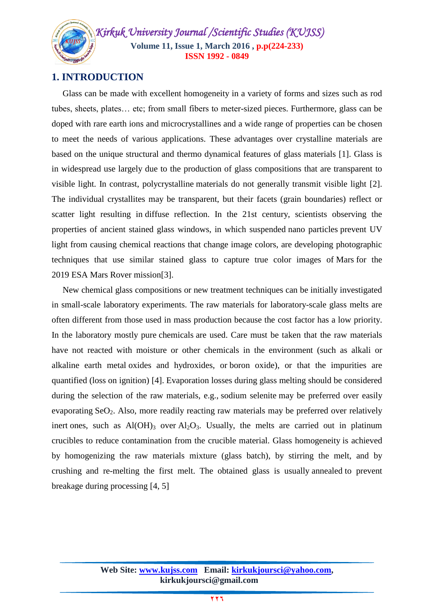*Kirkuk University Journal /Scientific Studies (KUJSS)*  **Volume 11, Issue 1, March 2016 , p.p(224-233) ISSN 1992 - 0849**

# **1. INTRODUCTION**

 Glass can be made with excellent homogeneity in a variety of forms and sizes such as rod tubes, sheets, plates… etc; from small fibers to meter-sized pieces. Furthermore, glass can be doped with rare earth ions and microcrystallines and a wide range of properties can be chosen to meet the needs of various applications. These advantages over crystalline materials are based on the unique structural and thermo dynamical features of glass materials [1]. Glass is in widespread use largely due to the production of glass compositions that are transparent to visible light. In contrast, [polycrystalline](http://en.wikipedia.org/wiki/Polycrystal) materials do not generally transmit visible light [\[2\].](http://en.wikipedia.org/wiki/Glass#cite_note-7) The individual crystallites may be transparent, but their facets [\(grain boundaries\)](http://en.wikipedia.org/wiki/Grain_boundary) reflect or scatter light resulting in [diffuse reflection.](http://en.wikipedia.org/wiki/Diffuse_reflection) In the 21st century, scientists observing the properties of ancient stained glass windows, in which suspended [nano particles](http://en.wikipedia.org/wiki/Nanoparticle) prevent UV light from causing chemical reactions that change image colors, are developing photographic techniques that use similar stained glass to capture true color images of [Mars](http://en.wikipedia.org/wiki/Mars) for the 2019 [ESA](http://en.wikipedia.org/wiki/ESA) Mars Rover missio[n\[3\].](http://en.wikipedia.org/wiki/Glass#cite_note-19)

 New chemical glass compositions or new treatment techniques can be initially investigated in small-scale laboratory experiments. The raw materials for laboratory-scale glass melts are often different from those used in mass production because the cost factor has a low priority. In the laboratory mostly pure [chemicals](http://en.wikipedia.org/wiki/Chemical) are used. Care must be taken that the raw materials have not reacted with moisture or other chemicals in the environment (such as [alkali](http://en.wikipedia.org/wiki/Alkali_metal) or [alkaline earth metal](http://en.wikipedia.org/wiki/Alkaline_earth_metal) oxides and hydroxides, or [boron oxide\)](http://en.wikipedia.org/wiki/Boron_trioxide), or that the impurities are quantified (loss on ignition) [\[4\].](http://en.wikipedia.org/wiki/Glass#cite_note-pnnl-21) Evaporation losses during glass melting should be considered during the selection of the raw materials, e.g., [sodium selenite](http://en.wikipedia.org/wiki/Sodium_selenite) may be preferred over easily evaporating  $SeO<sub>2</sub>$  $SeO<sub>2</sub>$ . Also, more readily reacting raw materials may be preferred over relatively [inert](http://en.wikipedia.org/wiki/Inert) ones, such as  $Al(OH)_{3}$  $Al(OH)_{3}$  over  $Al_{2}O_{3}$  $Al_{2}O_{3}$ . Usually, the melts are carried out in platinum crucibles to reduce contamination from the crucible material. Glass homogeneity is achieved by homogenizing the raw materials mixture [\(glass batch\)](http://en.wikipedia.org/wiki/Glass_batch), by stirring the melt, and by crushing and re-melting the first melt. The obtained glass is usually [annealed](http://en.wikipedia.org/wiki/Annealing_(glass)) to prevent breakage during processing [\[4, 5\]](http://en.wikipedia.org/wiki/Glass#cite_note-pnnl-21)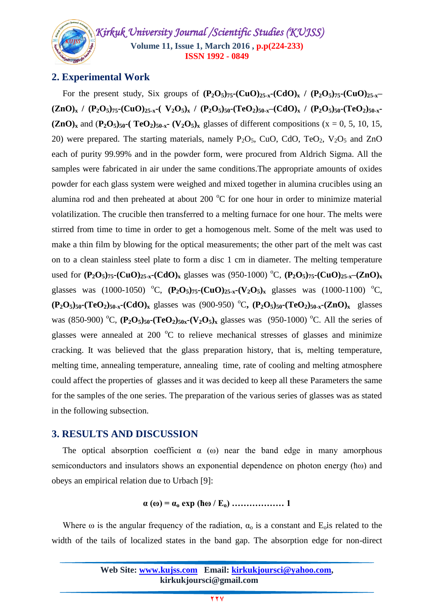*Kirkuk University Journal /Scientific Studies (KUJSS)*  **Volume 11, Issue 1, March 2016 , p.p(224-233) ISSN 1992 - 0849**

# **2. Experimental Work**

For the present study, Six groups of  $(P_2O_5)_{75}$ - $(CuO)_{25-x}$ - $(CdO)_x$  /  $(P_2O_5)_{75}$ - $(CuO)_{25-x}$  $(ZnO)<sub>x</sub>$  /  $(P_2O<sub>5</sub>)<sub>75</sub>$ - $(CuO)<sub>25-x</sub>$ - $(V_2O<sub>5</sub>)<sub>x</sub>$  /  $(P_2O<sub>5</sub>)<sub>50</sub>$ - $(TeO<sub>2</sub>)<sub>50-x</sub>$ - $(CdO)<sub>x</sub>$  /  $(P_2O<sub>5</sub>)<sub>50</sub>$ - $(TeO<sub>2</sub>)<sub>50-x</sub>$  $(\mathbf{ZnO})_x$  and  $(\mathbf{P}_2\mathbf{O}_5)_{50}$ -(TeO<sub>2</sub>)<sub>50-x</sub>- (V<sub>2</sub>O<sub>5</sub>)<sub>x</sub> glasses of different compositions (x = 0, 5, 10, 15, 20) were prepared. The starting materials, namely  $P_2O_5$ , CuO, CdO, TeO<sub>2</sub>, V<sub>2</sub>O<sub>5</sub> and ZnO each of purity 99.99% and in the powder form, were procured from Aldrich Sigma. All the samples were fabricated in air under the same conditions.The appropriate amounts of oxides powder for each glass system were weighed and mixed together in alumina crucibles using an alumina rod and then preheated at about 200  $^{\circ}$ C for one hour in order to minimize material volatilization. The crucible then transferred to a melting furnace for one hour. The melts were stirred from time to time in order to get a homogenous melt. Some of the melt was used to make a thin film by blowing for the optical measurements; the other part of the melt was cast on to a clean stainless steel plate to form a disc 1 cm in diameter. The melting temperature used for  $(P_2O_5)_{75}$ - $(CuO)_{25-x}$ - $(CdO)_x$  glasses was (950-1000) <sup>o</sup>C,  $(P_2O_5)_{75}$ - $(CuO)_{25-x}$ - $(ZnO)_x$ glasses was (1000-1050) <sup>o</sup>C,  $(P_2O_5)_{75}$ - $(CuO)_{25-x}$ - $(V_2O_5)_x$  glasses was (1000-1100) <sup>o</sup>C,  $(P_2O_5)_{50}$ -(TeO<sub>2</sub>)<sub>50-x</sub>-(CdO)<sub>x</sub> glasses was (900-950) <sup>o</sup>C,  $(P_2O_5)_{50}$ -(TeO<sub>2</sub>)<sub>50-x</sub>-(ZnO)<sub>x</sub> glasses was (850-900) <sup>o</sup>C,  $(P_2O_5)_{50}$ - $(TeO_2)_{50x}$ - $(V_2O_5)_{x}$  glasses was (950-1000) <sup>o</sup>C. All the series of glasses were annealed at 200  $\degree$ C to relieve mechanical stresses of glasses and minimize cracking. It was believed that the glass preparation history, that is, melting temperature, melting time, annealing temperature, annealing time, rate of cooling and melting atmosphere could affect the properties of glasses and it was decided to keep all these Parameters the same for the samples of the one series. The preparation of the various series of glasses was as stated in the following subsection.

# **3. RESULTS AND DISCUSSION**

The optical absorption coefficient  $\alpha$  (ω) near the band edge in many amorphous semiconductors and insulators shows an exponential dependence on photon energy (ћω) and obeys an empirical relation due to Urbach [9]:

**α (ω) = α<sup>o</sup> exp (ћω / Eo) ……………… 1**

Where  $\omega$  is the angular frequency of the radiation,  $\alpha_0$  is a constant and E<sub>o</sub>is related to the width of the tails of localized states in the band gap. The absorption edge for non-direct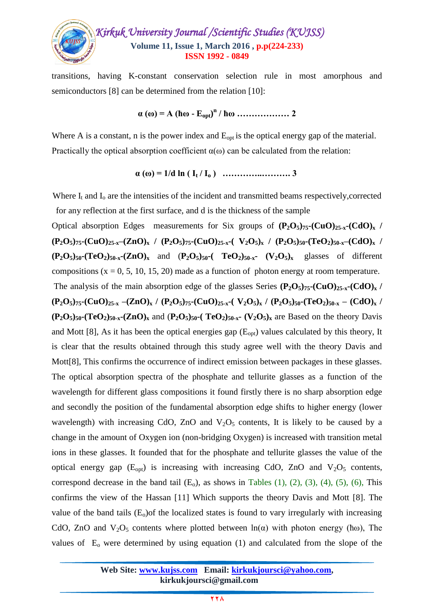

transitions, having K-constant conservation selection rule in most amorphous and semiconductors [8] can be determined from the relation [10]:

$$
\alpha(\omega) = A (\hbar \omega - E_{opt})^n / \hbar \omega \dots \dots \dots \dots \dots 2
$$

Where A is a constant, n is the power index and  $E_{opt}$  is the optical energy gap of the material. Practically the optical absorption coefficient  $\alpha(\omega)$  can be calculated from the relation:

**α (ω) = 1/d ln ( I<sup>t</sup> / I<sup>o</sup> ) …………..………. 3**

Where  $I_t$  and  $I_0$  are the intensities of the incident and transmitted beams respectively, corrected for any reflection at the first surface, and d is the thickness of the sample

Optical absorption Edges measurements for Six groups of  $(P_2O_5)_{75}$ - $(CuO)_{25-x}$ - $(CdO)_x$  /  $(P_2O_5)_{75}$ - $(CuO)_{25-x}$ - $(ZnO)_x$  /  $(P_2O_5)_{75}$ - $(CuO)_{25-x}$ - $(V_2O_5)_x$  /  $(P_2O_5)_{50}$ - $(TeO_2)_{50-x}$ - $(CdO)_x$  /  $(P_2O_5)_{50}$ -(TeO<sub>2</sub>)<sub>50-x</sub>-(ZnO)<sub>x</sub> and  $(P_2O_5)_{50}$ -(TeO<sub>2</sub>)<sub>50-x</sub>- (V<sub>2</sub>O<sub>5</sub>)<sub>x</sub> glasses of different compositions  $(x = 0, 5, 10, 15, 20)$  made as a function of photon energy at room temperature. The analysis of the main absorption edge of the glasses Series  $(\mathbf{P}_2\mathbf{O}_5)_{75}$ **-** $(\mathbf{CuO})_{25-x}$ **-** $(\mathbf{CdO})_x$  /  $(P_2O_5)_{75}$ - $(CuO)_{25-x}$  - $(ZnO)_x$  /  $(P_2O_5)_{75}$ - $(CuO)_{25-x}$ - $(V_2O_5)_x$  /  $(P_2O_5)_{50}$ - $(TeO_2)_{50-x}$  -  $(CdO)_x$  /  $(P_2O_5)_{50}$ -(TeO<sub>2</sub>)<sub>50-x</sub>-(ZnO)<sub>x</sub> and  $(P_2O_5)_{50}$ -(TeO<sub>2</sub>)<sub>50-x</sub>-(V<sub>2</sub>O<sub>5</sub>)<sub>x</sub> are Based on the theory Davis and Mott [8], As it has been the optical energies gap  $(E_{\text{opt}})$  values calculated by this theory, It is clear that the results obtained through this study agree well with the theory Davis and Mott[8], This confirms the occurrence of indirect emission between packages in these glasses. The optical absorption spectra of the phosphate and tellurite glasses as a function of the wavelength for different glass compositions it found firstly there is no sharp absorption edge and secondly the position of the fundamental absorption edge shifts to higher energy (lower wavelength) with increasing CdO, ZnO and  $V_2O_5$  contents, It is likely to be caused by a change in the amount of Oxygen ion (non-bridging Oxygen) is increased with transition metal ions in these glasses. It founded that for the phosphate and tellurite glasses the value of the optical energy gap  $(E_{\text{out}})$  is increasing with increasing CdO, ZnO and  $V_2O_5$  contents, correspond decrease in the band tail  $(E_0)$ , as shows in Tables  $(1)$ ,  $(2)$ ,  $(3)$ ,  $(4)$ ,  $(5)$ ,  $(6)$ , This confirms the view of the Hassan [11] Which supports the theory Davis and Mott [8]. The value of the band tails  $(E_0)$  of the localized states is found to vary irregularly with increasing CdO, ZnO and  $V_2O_5$  contents where plotted between  $ln(\alpha)$  with photon energy ( $\hbar\omega$ ), The values of  $E_0$  were determined by using equation (1) and calculated from the slope of the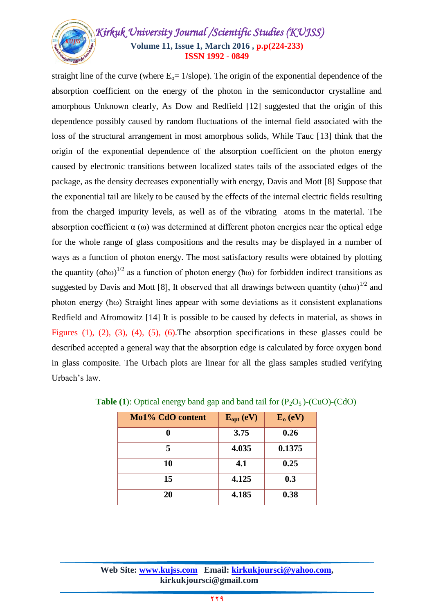# *Kirkuk University Journal /Scientific Studies (KUJSS)*  **Volume 11, Issue 1, March 2016 , p.p(224-233) ISSN 1992 - 0849**

straight line of the curve (where  $E_0 = 1$ /slope). The origin of the exponential dependence of the absorption coefficient on the energy of the photon in the semiconductor crystalline and amorphous Unknown clearly, As Dow and Redfield [12] suggested that the origin of this dependence possibly caused by random fluctuations of the internal field associated with the loss of the structural arrangement in most amorphous solids, While Tauc [13] think that the origin of the exponential dependence of the absorption coefficient on the photon energy caused by electronic transitions between localized states tails of the associated edges of the package, as the density decreases exponentially with energy, Davis and Mott [8] Suppose that the exponential tail are likely to be caused by the effects of the internal electric fields resulting from the charged impurity levels, as well as of the vibrating atoms in the material. The absorption coefficient  $\alpha$  (ω) was determined at different photon energies near the optical edge for the whole range of glass compositions and the results may be displayed in a number of ways as a function of photon energy. The most satisfactory results were obtained by plotting the quantity  $( \alpha \hbar \omega)^{1/2}$  as a function of photon energy ( $\hbar \omega$ ) for forbidden indirect transitions as suggested by Davis and Mott [8], It observed that all drawings between quantity  $(\alpha \hbar \omega)^{1/2}$  and photon energy (ћω) Straight lines appear with some deviations as it consistent explanations Redfield and Afromowitz [14] It is possible to be caused by defects in material, as shows in Figures (1), (2), (3), (4), (5), (6).The absorption specifications in these glasses could be described accepted a general way that the absorption edge is calculated by force oxygen bond in glass composite. The Urbach plots are linear for all the glass samples studied verifying Urbach's law.

| Mo1% CdO content | $E_{opt}$ (eV) | $E_0$ (eV) |
|------------------|----------------|------------|
|                  | 3.75           | 0.26       |
| 5                | 4.035          | 0.1375     |
| 10               | 4.1            | 0.25       |
| 15               | 4.125          | 0.3        |
| 20               | 4.185          | 0.38       |

|  |  |  |  | <b>Table (1):</b> Optical energy band gap and band tail for $(P_2O_5)$ -(CuO)-(CdO) |
|--|--|--|--|-------------------------------------------------------------------------------------|
|--|--|--|--|-------------------------------------------------------------------------------------|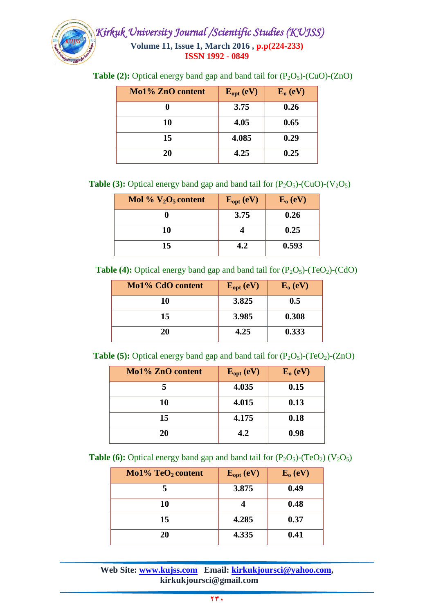

| Mo1% ZnO content | $E_{opt}$ (eV) | $E_0$ (eV) |
|------------------|----------------|------------|
|                  | 3.75           | 0.26       |
| 10               | 4.05           | 0.65       |
| 15               | 4.085          | 0.29       |
| 20               | 4.25           | 0.25       |

**Table (2):** Optical energy band gap and band tail for  $(P_2O_5)$ - $(CuO)$ - $(ZnO)$ 

**Table (3):** Optical energy band gap and band tail for  $(P_2O_5)$ - $(CuO)$ - $(V_2O_5)$ 

| Mol % $V_2O_5$ content | $E_{opt}$ (eV) | $E_0$ (eV) |
|------------------------|----------------|------------|
|                        | 3.75           | 0.26       |
| 10                     |                | 0.25       |
| 15                     | 4.2            | 0.593      |

**Table (4):** Optical energy band gap and band tail for  $(P_2O_5)$ - $(TeO_2)$ - $(CdO)$ 

| Mo1% CdO content | $E_{opt}$ (eV) | $E_0$ (eV) |
|------------------|----------------|------------|
| 10               | 3.825          | 0.5        |
| 15               | 3.985          | 0.308      |
| 20               | 4.25           | 0.333      |

**Table (5):** Optical energy band gap and band tail for  $(P_2O_5)$ - $(TeO_2)$ - $(ZnO)$ 

| Mo1% ZnO content | $E_{opt}$ (eV) | $E_0$ (eV) |
|------------------|----------------|------------|
|                  | 4.035          | 0.15       |
| 10               | 4.015          | 0.13       |
| 15               | 4.175          | 0.18       |
| 20               | 4.2            | 0.98       |

**Table (6):** Optical energy band gap and band tail for  $(P_2O_5)$ - $(TeO_2)$   $(V_2O_5)$ 

| $Mo1\% TeO2 content$ | $E_{opt}$ (eV) | $E_0$ (eV) |
|----------------------|----------------|------------|
|                      | 3.875          | 0.49       |
| 10                   |                | 0.48       |
| 15                   | 4.285          | 0.37       |
| 20                   | 4.335          | 0.41       |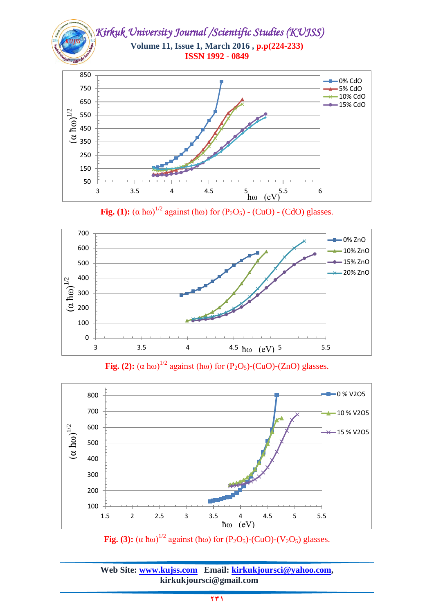

**Fig.** (1):  $(\alpha \text{ \ }h\omega)^{1/2}$  against ( $\text{h}\omega$ ) for ( $P_2O_5$ ) - (CuO) - (CdO) glasses.



**Fig.** (2):  $(\alpha \text{ \ }h\omega)^{1/2}$  against ( $\text{h}\omega$ ) for ( $P_2O_5$ )-(CuO)-(ZnO) glasses.



**Fig.** (3):  $(\alpha \text{ \text{h}}\omega)^{1/2}$  against ( $\text{h}\omega$ ) for (P<sub>2</sub>O<sub>5</sub>)-(CuO)-(V<sub>2</sub>O<sub>5</sub>) glasses.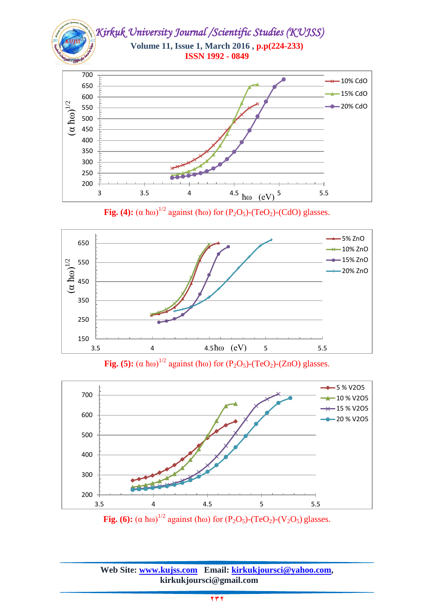

**Fig.** (4):  $(\alpha \text{ \ }h\omega)^{1/2}$  against ( $\text{ \ }h\omega$ ) for (P<sub>2</sub>O<sub>5</sub>)-(TeO<sub>2</sub>)-(CdO) glasses.



**Fig. (5):**  $(\alpha \text{ \text{h}}\omega)^{1/2}$  against ( $\text{h}\omega$ ) for (P<sub>2</sub>O<sub>5</sub>)-(TeO<sub>2</sub>)-(ZnO) glasses.



**Fig.** (6):  $(\alpha \text{ \text{h}}\omega)^{1/2}$  against ( $\text{h}\omega$ ) for (P<sub>2</sub>O<sub>5</sub>)-(TeO<sub>2</sub>)-(V<sub>2</sub>O<sub>5</sub>) glasses.